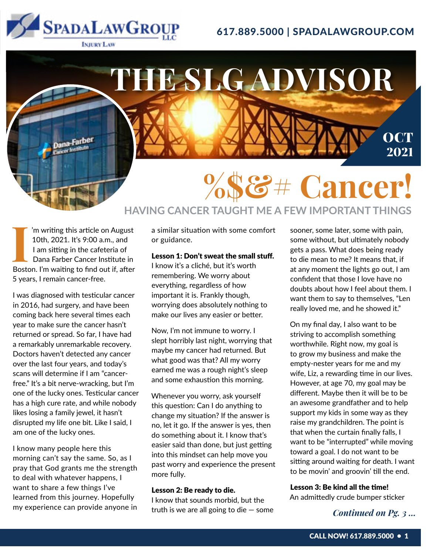

### 617.889.5000 | SPADALAWGROUP.COM

**INJURY LAW** 



Iom writing this article on August<br>10th, 2021. It's 9:00 a.m., and<br>1 am sitting in the cafeteria of<br>Dana Farber Cancer Institute in<br>Boston. I'm waiting to find out if, after 'm writing this article on August 10th, 2021. It's 9:00 a.m., and I am sitting in the cafeteria of Dana Farber Cancer Institute in 5 years, I remain cancer-free.

I was diagnosed with testicular cancer in 2016, had surgery, and have been coming back here several times each year to make sure the cancer hasn't returned or spread. So far, I have had a remarkably unremarkable recovery. Doctors haven't detected any cancer over the last four years, and today's scans will determine if I am "cancerfree." It's a bit nerve-wracking, but I'm one of the lucky ones. Testicular cancer has a high cure rate, and while nobody likes losing a family jewel, it hasn't disrupted my life one bit. Like I said, I am one of the lucky ones.

I know many people here this morning can't say the same. So, as I pray that God grants me the strength to deal with whatever happens, I want to share a few things I've learned from this journey. Hopefully my experience can provide anyone in

a similar situation with some comfort or guidance.

### Lesson 1: Don't sweat the small stuff.

I know it's a cliché, but it's worth remembering. We worry about everything, regardless of how important it is. Frankly though, worrying does absolutely nothing to make our lives any easier or better.

Now, I'm not immune to worry. I slept horribly last night, worrying that maybe my cancer had returned. But what good was that? All my worry earned me was a rough night's sleep and some exhaustion this morning.

Whenever you worry, ask yourself this question: Can I do anything to change my situation? If the answer is no, let it go. If the answer is yes, then do something about it. I know that's easier said than done, but just getting into this mindset can help move you past worry and experience the present more fully.

#### Lesson 2: Be ready to die.

I know that sounds morbid, but the truth is we are all going to die  $-$  some sooner, some later, some with pain, some without, but ultimately nobody gets a pass. What does being ready to die mean to me? It means that, if at any moment the lights go out, I am confident that those I love have no doubts about how I feel about them. I want them to say to themselves, "Len really loved me, and he showed it."

On my final day, I also want to be striving to accomplish something worthwhile. Right now, my goal is to grow my business and make the empty-nester years for me and my wife, Liz, a rewarding time in our lives. However, at age 70, my goal may be different. Maybe then it will be to be an awesome grandfather and to help support my kids in some way as they raise my grandchildren. The point is that when the curtain finally falls, I want to be "interrupted" while moving toward a goal. I do not want to be sitting around waiting for death. I want to be movin' and groovin' till the end.

### Lesson 3: Be kind all the time!

An admittedly crude bumper sticker

*Continued on Pg. 3 ...*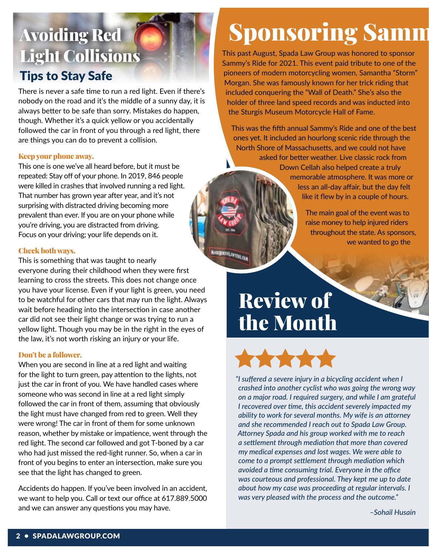## Avoiding Red Light Collisions Tips to Stay Safe

There is never a safe time to run a red light. Even if there's nobody on the road and it's the middle of a sunny day, it is always better to be safe than sorry. Mistakes do happen, though. Whether it's a quick yellow or you accidentally followed the car in front of you through a red light, there are things you can do to prevent a collision.

### Keep your phone away.

This one is one we've all heard before, but it must be repeated: Stay off of your phone. In 2019, 846 people were killed in crashes that involved running a red light. That number has grown year after year, and it's not surprising with distracted driving becoming more prevalent than ever. If you are on your phone while you're driving, you are distracted from driving. Focus on your driving; your life depends on it.

### Check both ways.

This is something that was taught to nearly everyone during their childhood when they were first learning to cross the streets. This does not change once you have your license. Even if your light is green, you need to be watchful for other cars that may run the light. Always wait before heading into the intersection in case another car did not see their light change or was trying to run a yellow light. Though you may be in the right in the eyes of the law, it's not worth risking an injury or your life.

### Don't be a follower.

When you are second in line at a red light and waiting for the light to turn green, pay attention to the lights, not just the car in front of you. We have handled cases where someone who was second in line at a red light simply followed the car in front of them, assuming that obviously the light must have changed from red to green. Well they were wrong! The car in front of them for some unknown reason, whether by mistake or impatience, went through the red light. The second car followed and got T-boned by a car who had just missed the red-light runner. So, when a car in front of you begins to enter an intersection, make sure you see that the light has changed to green.

Accidents do happen. If you've been involved in an accident, we want to help you. Call or text our office at 617.889.5000 and we can answer any questions you may have.

# **Sponsoring Samm**

This past August, Spada Law Group was honored to sponsor Sammy's Ride for 2021. This event paid tribute to one of the pioneers of modern motorcycling women, Samantha "Storm" Morgan. She was famously known for her trick riding that included conquering the "Wall of Death." She's also the holder of three land speed records and was inducted into the Sturgis Museum Motorcycle Hall of Fame.

This was the fifth annual Sammy's Ride and one of the best ones yet. It included an hourlong scenic ride through the North Shore of Massachusetts, and we could not have asked for better weather. Live classic rock from Down Cellah also helped create a truly memorable atmosphere. It was more or less an all-day affair, but the day felt like it flew by in a couple of hours.

> The main goal of the event was to raise money to help injured riders throughout the state. As sponsors, we wanted to go the

# Review of the Month

**MARKET LIVERERS** 



*"I suffered a severe injury in a bicycling accident when I crashed into another cyclist who was going the wrong way on a major road. I required surgery, and while I am grateful I recovered over time, this accident severely impacted my ability to work for several months. My wife is an attorney and she recommended I reach out to Spada Law Group. Attorney Spada and his group worked with me to reach a settlement through mediation that more than covered my medical expenses and lost wages. We were able to come to a prompt settlement through mediation which avoided a time consuming trial. Everyone in the office was courteous and professional. They kept me up to date about how my case was proceeding at regular intervals. I was very pleased with the process and the outcome."*

*–Sohail Husain*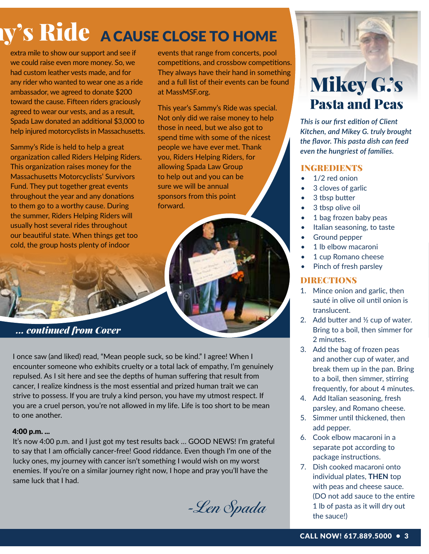# **Ride A CAUSE CLOSE TO HOME**

extra mile to show our support and see if we could raise even more money. So, we had custom leather vests made, and for any rider who wanted to wear one as a ride ambassador, we agreed to donate \$200 toward the cause. Fifteen riders graciously agreed to wear our vests, and as a result, Spada Law donated an additional \$3,000 to help injured motorcyclists in Massachusetts.

Sammy's Ride is held to help a great organization called Riders Helping Riders. This organization raises money for the Massachusetts Motorcyclists' Survivors Fund. They put together great events throughout the year and any donations to them go to a worthy cause. During the summer, Riders Helping Riders will usually host several rides throughout our beautiful state. When things get too cold, the group hosts plenty of indoor

events that range from concerts, pool competitions, and crossbow competitions. They always have their hand in something and a full list of their events can be found at MassMSF.org.

This year's Sammy's Ride was special. Not only did we raise money to help those in need, but we also got to spend time with some of the nicest people we have ever met. Thank you, Riders Helping Riders, for allowing Spada Law Group to help out and you can be sure we will be annual sponsors from this point forward.



I once saw (and liked) read, "Mean people suck, so be kind." I agree! When I encounter someone who exhibits cruelty or a total lack of empathy, I'm genuinely repulsed. As I sit here and see the depths of human suffering that result from cancer, I realize kindness is the most essential and prized human trait we can strive to possess. If you are truly a kind person, you have my utmost respect. If you are a cruel person, you're not allowed in my life. Life is too short to be mean to one another.

### 4:00 p.m. ...

It's now 4:00 p.m. and I just got my test results back … GOOD NEWS! I'm grateful to say that I am officially cancer-free! Good riddance. Even though I'm one of the lucky ones, my journey with cancer isn't something I would wish on my worst enemies. If you're on a similar journey right now, I hope and pray you'll have the same luck that I had.

-Len Spada

## Mikey G.'s Pasta and Peas

*This is our first edition of Client Kitchen, and Mikey G. truly brought the flavor. This pasta dish can feed even the hungriest of families.*

### INGREDIENTS

- 1/2 red onion
- 3 cloves of garlic
- 3 tbsp butter
- 3 tbsp olive oil
- 1 bag frozen baby peas
- Italian seasoning, to taste
- Ground pepper
- 1 lb elbow macaroni
- 1 cup Romano cheese
- Pinch of fresh parsley

### DIRECTIONS

- 1. Mince onion and garlic, then sauté in olive oil until onion is translucent.
- 2. Add butter and ½ cup of water. Bring to a boil, then simmer for 2 minutes.
- 3. Add the bag of frozen peas and another cup of water, and break them up in the pan. Bring to a boil, then simmer, stirring frequently, for about 4 minutes.
- 4. Add Italian seasoning, fresh parsley, and Romano cheese.
- 5. Simmer until thickened, then add pepper.
- 6. Cook elbow macaroni in a separate pot according to package instructions.
- 7. Dish cooked macaroni onto individual plates, **THEN** top with peas and cheese sauce. (DO not add sauce to the entire 1 lb of pasta as it will dry out the sauce!)